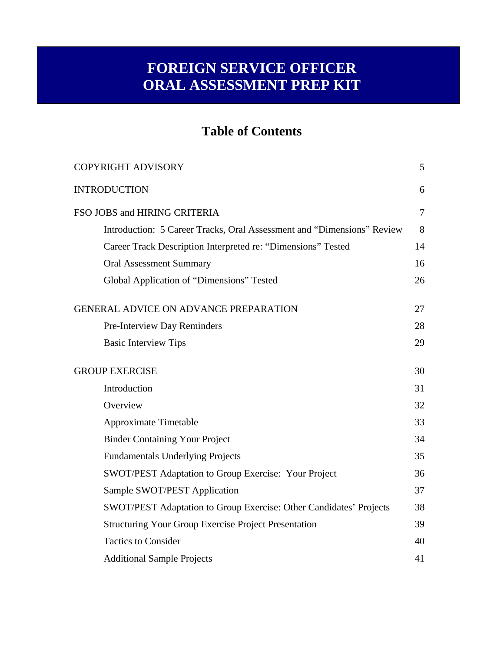## **FOREIGN SERVICE OFFICER ORAL ASSESSMENT PREP KIT**

## **Table of Contents**

| <b>COPYRIGHT ADVISORY</b>                                              | 5              |
|------------------------------------------------------------------------|----------------|
| <b>INTRODUCTION</b>                                                    | 6              |
| FSO JOBS and HIRING CRITERIA                                           | $\overline{7}$ |
| Introduction: 5 Career Tracks, Oral Assessment and "Dimensions" Review | 8              |
| Career Track Description Interpreted re: "Dimensions" Tested           | 14             |
| <b>Oral Assessment Summary</b>                                         | 16             |
| Global Application of "Dimensions" Tested                              | 26             |
| <b>GENERAL ADVICE ON ADVANCE PREPARATION</b>                           | 27             |
| Pre-Interview Day Reminders                                            | 28             |
| <b>Basic Interview Tips</b>                                            | 29             |
| <b>GROUP EXERCISE</b>                                                  | 30             |
| Introduction                                                           | 31             |
| Overview                                                               | 32             |
| <b>Approximate Timetable</b>                                           | 33             |
| <b>Binder Containing Your Project</b>                                  | 34             |
| <b>Fundamentals Underlying Projects</b>                                | 35             |
| SWOT/PEST Adaptation to Group Exercise: Your Project                   | 36             |
| Sample SWOT/PEST Application                                           | 37             |
| SWOT/PEST Adaptation to Group Exercise: Other Candidates' Projects     | 38             |
| <b>Structuring Your Group Exercise Project Presentation</b>            | 39             |
| <b>Tactics to Consider</b>                                             | 40             |
| <b>Additional Sample Projects</b>                                      | 41             |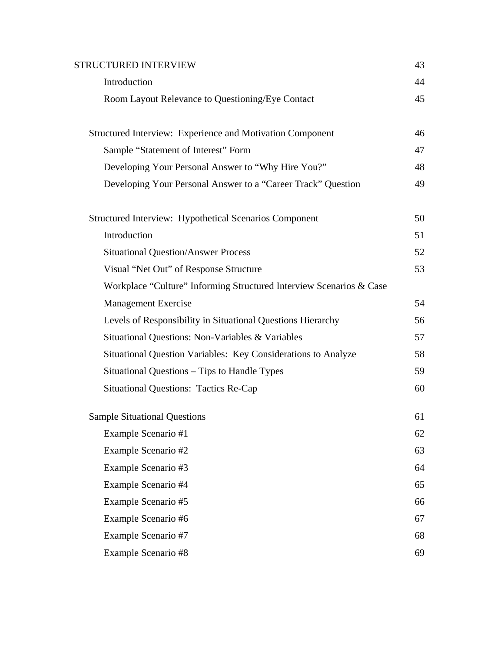| <b>STRUCTURED INTERVIEW</b>                                         | 43 |
|---------------------------------------------------------------------|----|
| Introduction                                                        | 44 |
| Room Layout Relevance to Questioning/Eye Contact                    | 45 |
| <b>Structured Interview: Experience and Motivation Component</b>    | 46 |
| Sample "Statement of Interest" Form                                 | 47 |
| Developing Your Personal Answer to "Why Hire You?"                  | 48 |
| Developing Your Personal Answer to a "Career Track" Question        | 49 |
| Structured Interview: Hypothetical Scenarios Component              | 50 |
| Introduction                                                        | 51 |
| <b>Situational Question/Answer Process</b>                          | 52 |
| Visual "Net Out" of Response Structure                              | 53 |
| Workplace "Culture" Informing Structured Interview Scenarios & Case |    |
| <b>Management Exercise</b>                                          | 54 |
| Levels of Responsibility in Situational Questions Hierarchy         | 56 |
| Situational Questions: Non-Variables & Variables                    | 57 |
| Situational Question Variables: Key Considerations to Analyze       | 58 |
| Situational Questions - Tips to Handle Types                        | 59 |
| <b>Situational Questions: Tactics Re-Cap</b>                        | 60 |
| <b>Sample Situational Questions</b>                                 | 61 |
| Example Scenario #1                                                 | 62 |
| Example Scenario #2                                                 | 63 |
| Example Scenario #3                                                 | 64 |
| Example Scenario #4                                                 | 65 |
| Example Scenario #5                                                 | 66 |
| Example Scenario #6                                                 | 67 |
| Example Scenario #7                                                 | 68 |
| Example Scenario #8                                                 | 69 |